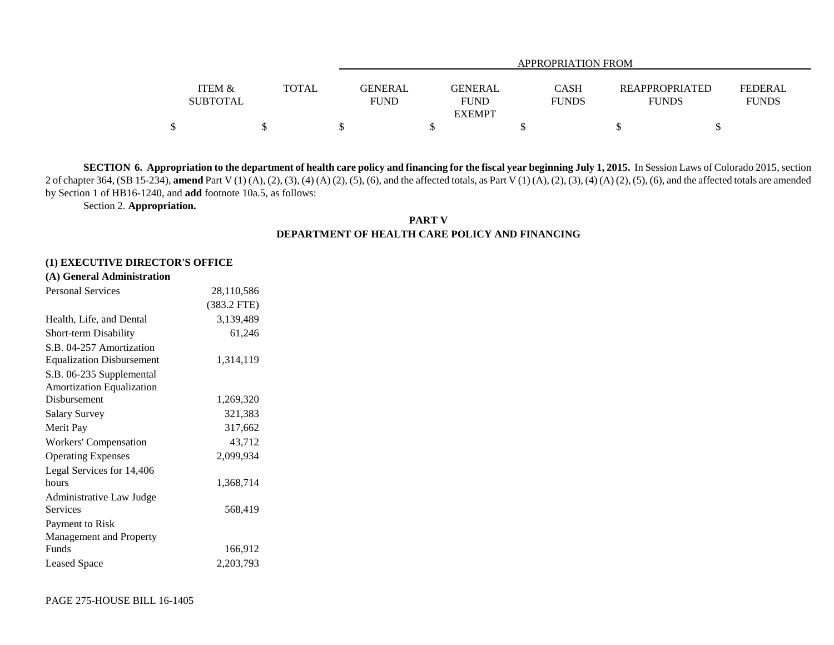|                                      |              | <b>APPROPRIATION FROM</b>                                      |                             |  |                                                                  |  |  |  |  |  |
|--------------------------------------|--------------|----------------------------------------------------------------|-----------------------------|--|------------------------------------------------------------------|--|--|--|--|--|
| <b>ITEM &amp;</b><br><b>SUBTOTAL</b> | <b>TOTAL</b> | <b>GENERAL</b><br><b>GENERAL</b><br><b>FUND</b><br><b>FUND</b> | <b>CASH</b><br><b>FUNDS</b> |  | <b>REAPPROPRIATED</b><br>FEDERAL<br><b>FUNDS</b><br><b>FUNDS</b> |  |  |  |  |  |
|                                      |              | <b>EXEMPT</b>                                                  |                             |  |                                                                  |  |  |  |  |  |
|                                      |              |                                                                |                             |  |                                                                  |  |  |  |  |  |

**SECTION 6. Appropriation to the department of health care policy and financing for the fiscal year beginning July 1, 2015.** In Session Laws of Colorado 2015, section 2 of chapter 364, (SB 15-234), **amend** Part V (1) (A), (2), (3), (4) (A) (2), (5), (6), and the affected totals, as Part V (1) (A), (2), (3), (4) (A) (2), (5), (6), and the affected totals are amended by Section 1 of HB16-1240, and **add** footnote 10a.5, as follows:

Section 2. **Appropriation.**

## **PART VDEPARTMENT OF HEALTH CARE POLICY AND FINANCING**

## **(1) EXECUTIVE DIRECTOR'S OFFICE**

|  |  | (A) General Administration |  |
|--|--|----------------------------|--|
|--|--|----------------------------|--|

| <b>Personal Services</b>         | 28,110,586    |
|----------------------------------|---------------|
|                                  | $(383.2$ FTE) |
| Health, Life, and Dental         | 3,139,489     |
| <b>Short-term Disability</b>     | 61,246        |
| S.B. 04-257 Amortization         |               |
| <b>Equalization Disbursement</b> | 1,314,119     |
| S.B. 06-235 Supplemental         |               |
| <b>Amortization Equalization</b> |               |
| Disbursement                     | 1,269,320     |
| <b>Salary Survey</b>             | 321,383       |
| Merit Pay                        | 317,662       |
| Workers' Compensation            | 43,712        |
| <b>Operating Expenses</b>        | 2,099,934     |
| Legal Services for 14,406        |               |
| hours                            | 1,368,714     |
| Administrative Law Judge         |               |
| <b>Services</b>                  | 568,419       |
| Payment to Risk                  |               |
| Management and Property          |               |
| Funds                            | 166,912       |
| <b>Leased Space</b>              | 2,203,793     |
|                                  |               |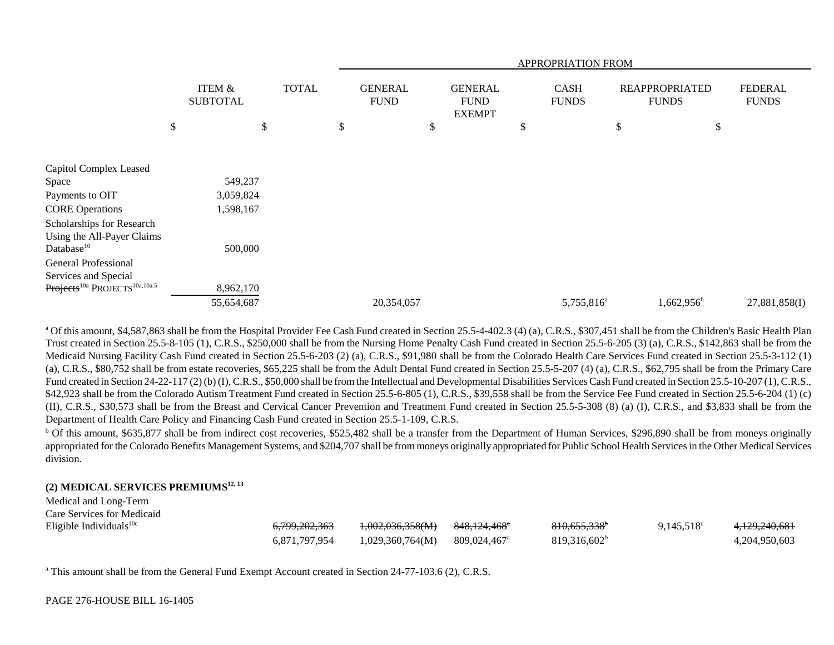|                                                                                                       |                                      |              |  | <b>APPROPRIATION FROM</b>     |                               |               |    |                             |    |                                       |                                |
|-------------------------------------------------------------------------------------------------------|--------------------------------------|--------------|--|-------------------------------|-------------------------------|---------------|----|-----------------------------|----|---------------------------------------|--------------------------------|
|                                                                                                       | <b>ITEM &amp;</b><br><b>SUBTOTAL</b> | <b>TOTAL</b> |  | <b>GENERAL</b><br><b>FUND</b> | <b>GENERAL</b><br><b>FUND</b> | <b>EXEMPT</b> |    | <b>CASH</b><br><b>FUNDS</b> |    | <b>REAPPROPRIATED</b><br><b>FUNDS</b> | <b>FEDERAL</b><br><b>FUNDS</b> |
|                                                                                                       | \$<br>\$                             |              |  | \$                            | \$                            |               | \$ |                             | \$ | \$                                    |                                |
| Capitol Complex Leased                                                                                |                                      |              |  |                               |                               |               |    |                             |    |                                       |                                |
| Space                                                                                                 | 549,237                              |              |  |                               |                               |               |    |                             |    |                                       |                                |
| Payments to OIT<br><b>CORE Operations</b>                                                             | 3,059,824<br>1,598,167               |              |  |                               |                               |               |    |                             |    |                                       |                                |
| Scholarships for Research<br>Using the All-Payer Claims<br>Database <sup>10</sup>                     | 500,000                              |              |  |                               |                               |               |    |                             |    |                                       |                                |
| General Professional<br>Services and Special<br>Projects <sup>toa</sup> PROJECTS <sup>10a,10a.5</sup> | 8,962,170                            |              |  |                               |                               |               |    |                             |    |                                       |                                |
|                                                                                                       | 55,654,687                           |              |  | 20,354,057                    |                               |               |    | 5,755,816 <sup>a</sup>      |    | $1,662,956^b$                         | 27,881,858(I)                  |

<sup>a</sup> Of this amount, \$4,587,863 shall be from the Hospital Provider Fee Cash Fund created in Section 25.5-4-402.3 (4) (a), C.R.S., \$307,451 shall be from the Children's Basic Health Plan Trust created in Section 25.5-8-105 (1), C.R.S., \$250,000 shall be from the Nursing Home Penalty Cash Fund created in Section 25.5-6-205 (3) (a), C.R.S., \$142,863 shall be from the Medicaid Nursing Facility Cash Fund created in Section 25.5-6-203 (2) (a), C.R.S., \$91,980 shall be from the Colorado Health Care Services Fund created in Section 25.5-3-112 (1) (a), C.R.S., \$80,752 shall be from estate recoveries, \$65,225 shall be from the Adult Dental Fund created in Section 25.5-5-207 (4) (a), C.R.S., \$62,795 shall be from the Primary Care Fund created in Section 24-22-117 (2) (b) (I), C.R.S., \$50,000 shall be from the Intellectual and Developmental Disabilities Services Cash Fund created in Section 25.5-10-207 (1), C.R.S., \$42,923 shall be from the Colorado Autism Treatment Fund created in Section 25.5-6-805 (1), C.R.S., \$39,558 shall be from the Service Fee Fund created in Section 25.5-6-204 (1) (c) (II), C.R.S., \$30,573 shall be from the Breast and Cervical Cancer Prevention and Treatment Fund created in Section 25.5-5-308 (8) (a) (I), C.R.S., and \$3,833 shall be from the Department of Health Care Policy and Financing Cash Fund created in Section 25.5-1-109, C.R.S.

<sup>b</sup> Of this amount, \$635,877 shall be from indirect cost recoveries, \$525,482 shall be a transfer from the Department of Human Services, \$296,890 shall be from moneys originally appropriated for the Colorado Benefits Management Systems, and \$204,707 shall be from moneys originally appropriated for Public School Health Services in the Other Medical Services division.

## **(2) MEDICAL SERVICES PREMIUMS12, 13**

| Medical and Long-Term      |                          |                  |                          |                          |                     |               |
|----------------------------|--------------------------|------------------|--------------------------|--------------------------|---------------------|---------------|
| Care Services for Medicaid |                          |                  |                          |                          |                     |               |
| Eligible Individuals $10c$ | <del>6,799,202,363</del> | 1,002,036,358(M) | <del>848,124,468</del> * | 810,655,338 <sup>*</sup> | $9.145.518^{\circ}$ | 4,129,240,681 |
|                            | 6.871.797.954            | 1,029,360,764(M) | 809,024,467 <sup>a</sup> | 819,316,602 <sup>b</sup> |                     | 4,204,950,603 |

<sup>a</sup> This amount shall be from the General Fund Exempt Account created in Section 24-77-103.6 (2), C.R.S.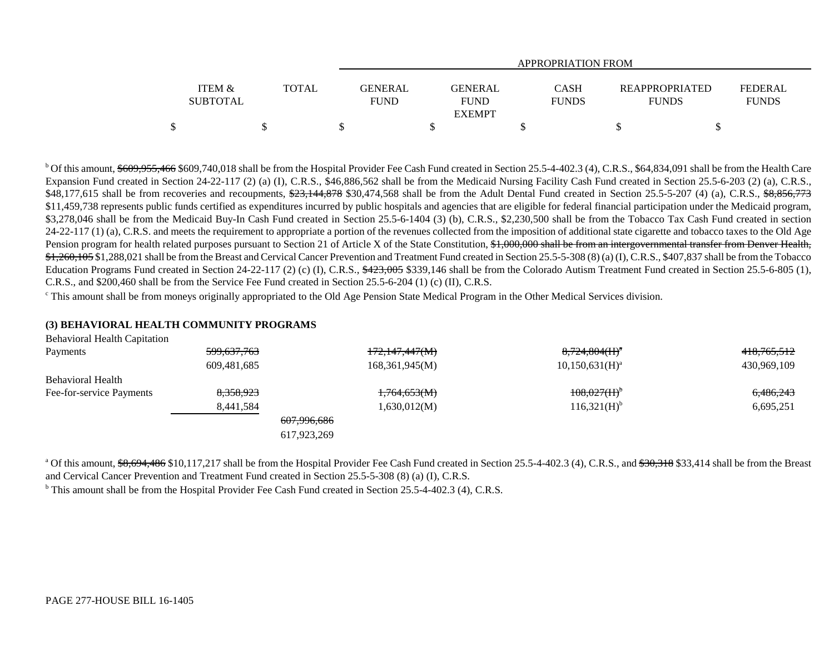|                                      |       |                               | APPROPRIATION FROM                             |                             |                                       |                         |  |  |  |  |  |  |
|--------------------------------------|-------|-------------------------------|------------------------------------------------|-----------------------------|---------------------------------------|-------------------------|--|--|--|--|--|--|
| <b>ITEM &amp;</b><br><b>SUBTOTAL</b> | TOTAL | <b>GENERAL</b><br><b>FUND</b> | <b>GENERAL</b><br><b>FUND</b><br><b>EXEMPT</b> | <b>CASH</b><br><b>FUNDS</b> | <b>REAPPROPRIATED</b><br><b>FUNDS</b> | FEDERAL<br><b>FUNDS</b> |  |  |  |  |  |  |
|                                      |       |                               |                                                |                             |                                       |                         |  |  |  |  |  |  |

<sup>b</sup> Of this amount, \$609,955,466 \$609,740,018 shall be from the Hospital Provider Fee Cash Fund created in Section 25.5-4-402.3 (4), C.R.S., \$64,834,091 shall be from the Health Care Expansion Fund created in Section 24-22-117 (2) (a) (I), C.R.S.,  $\overline{$}46,886,562$  shall be from the Medicaid Nursing Facility Cash Fund created in Section 25.5-6-203 (2) (a), C.R.S., \$48,177,615 shall be from recoveries and recoupments, \$23,144,878 \$30,474,568 shall be from the Adult Dental Fund created in Section 25.5-5-207 (4) (a), C.R.S., \$8,856,773 \$11,459,738 represents public funds certified as expenditures incurred by public hospitals and agencies that are eligible for federal financial participation under the Medicaid program, \$3,278,046 shall be from the Medicaid Buy-In Cash Fund created in Section 25.5-6-1404 (3) (b), C.R.S., \$2,230,500 shall be from the Tobacco Tax Cash Fund created in section 24-22-117 (1) (a), C.R.S. and meets the requirement to appropriate a portion of the revenues collected from the imposition of additional state cigarette and tobacco taxes to the Old Age Pension program for health related purposes pursuant to Section 21 of Article X of the State Constitution, \$1,000,000 shall be from an intergovernmental transfer from Denver Health, \$1,260,105 \$1,288,021 shall be from the Breast and Cervical Cancer Prevention and Treatment Fund created in Section 25.5-5-308 (8) (a) (I), C.R.S., \$407,837 shall be from the Tobacco Education Programs Fund created in Section 24-22-117 (2) (c) (I), C.R.S., \$423,005 \$339,146 shall be from the Colorado Autism Treatment Fund created in Section 25.5-6-805 (1), C.R.S., and \$200,460 shall be from the Service Fee Fund created in Section 25.5-6-204 (1) (c) (II), C.R.S.

<sup>c</sup> This amount shall be from moneys originally appropriated to the Old Age Pension State Medical Program in the Other Medical Services division.

## **(3) BEHAVIORAL HEALTH COMMUNITY PROGRAMS**

| <del>599,637,763</del> | 172,147,447(M)         | $8,724,804(H)^a$           | <del>418,765,512</del> |
|------------------------|------------------------|----------------------------|------------------------|
| 609,481,685            | 168,361,945(M)         | $10,150,631(H)^a$          | 430,969,109            |
|                        |                        |                            |                        |
| 8,358,923              | 1,764,653(M)           | $108,027$ (H) <sup>b</sup> | 6,486,243              |
| 8,441,584              | 1,630,012(M)           | $116,321(H)$ <sup>b</sup>  | 6,695,251              |
|                        | <del>607,996,686</del> |                            |                        |
|                        |                        |                            |                        |
|                        |                        | 617,923,269                |                        |

<sup>a</sup> Of this amount, \$8,694,486 \$10,117,217 shall be from the Hospital Provider Fee Cash Fund created in Section 25.5-4-402.3 (4), C.R.S., and \$30,318 \$33,414 shall be from the Breast and Cervical Cancer Prevention and Treatment Fund created in Section 25.5-5-308 (8) (a) (I), C.R.S.

<sup>b</sup> This amount shall be from the Hospital Provider Fee Cash Fund created in Section 25.5-4-402.3 (4), C.R.S.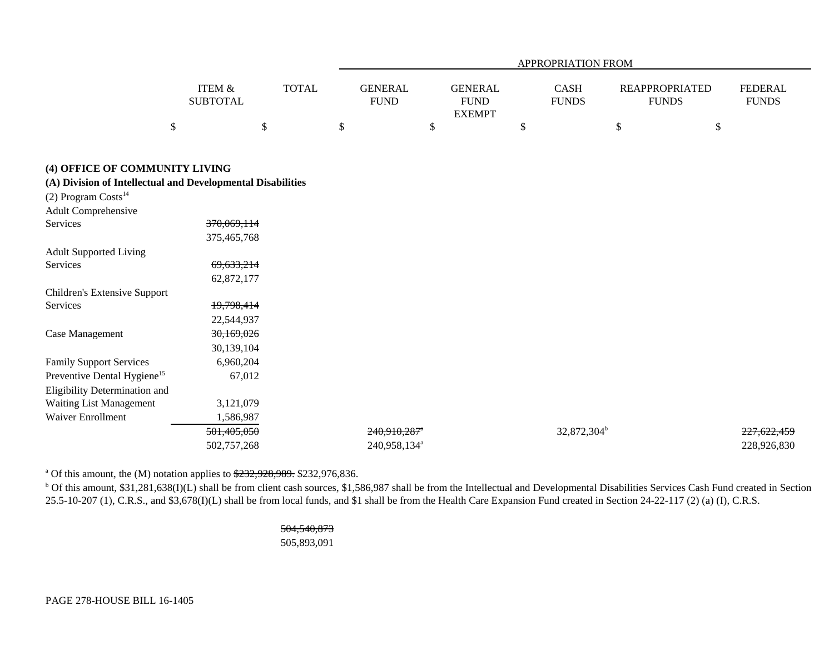| ITEM &<br><b>TOTAL</b><br><b>GENERAL</b><br><b>GENERAL</b><br><b>FEDERAL</b><br><b>CASH</b><br><b>REAPPROPRIATED</b><br><b>SUBTOTAL</b><br><b>FUND</b><br><b>FUND</b><br><b>FUNDS</b><br><b>FUNDS</b><br><b>FUNDS</b><br><b>EXEMPT</b><br>$\$\,$<br>\$<br>\$<br>\$<br>\$<br>\$<br>\$<br>(4) OFFICE OF COMMUNITY LIVING<br>(A) Division of Intellectual and Developmental Disabilities<br>(2) Program Costs <sup>14</sup><br><b>Adult Comprehensive</b><br>Services<br>370,069,114<br>375,465,768<br><b>Adult Supported Living</b><br>Services<br>69,633,214<br>62,872,177<br>Children's Extensive Support<br>19,798,414<br>Services<br>22,544,937<br>30,169,026<br>Case Management<br>30,139,104<br><b>Family Support Services</b><br>6,960,204<br>Preventive Dental Hygiene <sup>15</sup><br>67,012<br>Eligibility Determination and<br>Waiting List Management<br>3,121,079<br><b>Waiver Enrollment</b><br>1,586,987<br>501,405,050<br>32,872,304 <sup>b</sup><br>$240,910,287$ <sup>*</sup><br>227,622,459<br>240,958,134 <sup>a</sup><br>502,757,268<br>228,926,830 |  |  |  |  | <b>APPROPRIATION FROM</b> |  |  |
|-------------------------------------------------------------------------------------------------------------------------------------------------------------------------------------------------------------------------------------------------------------------------------------------------------------------------------------------------------------------------------------------------------------------------------------------------------------------------------------------------------------------------------------------------------------------------------------------------------------------------------------------------------------------------------------------------------------------------------------------------------------------------------------------------------------------------------------------------------------------------------------------------------------------------------------------------------------------------------------------------------------------------------------------------------------------------|--|--|--|--|---------------------------|--|--|
|                                                                                                                                                                                                                                                                                                                                                                                                                                                                                                                                                                                                                                                                                                                                                                                                                                                                                                                                                                                                                                                                         |  |  |  |  |                           |  |  |
|                                                                                                                                                                                                                                                                                                                                                                                                                                                                                                                                                                                                                                                                                                                                                                                                                                                                                                                                                                                                                                                                         |  |  |  |  |                           |  |  |
|                                                                                                                                                                                                                                                                                                                                                                                                                                                                                                                                                                                                                                                                                                                                                                                                                                                                                                                                                                                                                                                                         |  |  |  |  |                           |  |  |
|                                                                                                                                                                                                                                                                                                                                                                                                                                                                                                                                                                                                                                                                                                                                                                                                                                                                                                                                                                                                                                                                         |  |  |  |  |                           |  |  |
|                                                                                                                                                                                                                                                                                                                                                                                                                                                                                                                                                                                                                                                                                                                                                                                                                                                                                                                                                                                                                                                                         |  |  |  |  |                           |  |  |
|                                                                                                                                                                                                                                                                                                                                                                                                                                                                                                                                                                                                                                                                                                                                                                                                                                                                                                                                                                                                                                                                         |  |  |  |  |                           |  |  |
|                                                                                                                                                                                                                                                                                                                                                                                                                                                                                                                                                                                                                                                                                                                                                                                                                                                                                                                                                                                                                                                                         |  |  |  |  |                           |  |  |
|                                                                                                                                                                                                                                                                                                                                                                                                                                                                                                                                                                                                                                                                                                                                                                                                                                                                                                                                                                                                                                                                         |  |  |  |  |                           |  |  |
|                                                                                                                                                                                                                                                                                                                                                                                                                                                                                                                                                                                                                                                                                                                                                                                                                                                                                                                                                                                                                                                                         |  |  |  |  |                           |  |  |
|                                                                                                                                                                                                                                                                                                                                                                                                                                                                                                                                                                                                                                                                                                                                                                                                                                                                                                                                                                                                                                                                         |  |  |  |  |                           |  |  |
|                                                                                                                                                                                                                                                                                                                                                                                                                                                                                                                                                                                                                                                                                                                                                                                                                                                                                                                                                                                                                                                                         |  |  |  |  |                           |  |  |
|                                                                                                                                                                                                                                                                                                                                                                                                                                                                                                                                                                                                                                                                                                                                                                                                                                                                                                                                                                                                                                                                         |  |  |  |  |                           |  |  |
|                                                                                                                                                                                                                                                                                                                                                                                                                                                                                                                                                                                                                                                                                                                                                                                                                                                                                                                                                                                                                                                                         |  |  |  |  |                           |  |  |
|                                                                                                                                                                                                                                                                                                                                                                                                                                                                                                                                                                                                                                                                                                                                                                                                                                                                                                                                                                                                                                                                         |  |  |  |  |                           |  |  |
|                                                                                                                                                                                                                                                                                                                                                                                                                                                                                                                                                                                                                                                                                                                                                                                                                                                                                                                                                                                                                                                                         |  |  |  |  |                           |  |  |
|                                                                                                                                                                                                                                                                                                                                                                                                                                                                                                                                                                                                                                                                                                                                                                                                                                                                                                                                                                                                                                                                         |  |  |  |  |                           |  |  |
|                                                                                                                                                                                                                                                                                                                                                                                                                                                                                                                                                                                                                                                                                                                                                                                                                                                                                                                                                                                                                                                                         |  |  |  |  |                           |  |  |
|                                                                                                                                                                                                                                                                                                                                                                                                                                                                                                                                                                                                                                                                                                                                                                                                                                                                                                                                                                                                                                                                         |  |  |  |  |                           |  |  |
|                                                                                                                                                                                                                                                                                                                                                                                                                                                                                                                                                                                                                                                                                                                                                                                                                                                                                                                                                                                                                                                                         |  |  |  |  |                           |  |  |
|                                                                                                                                                                                                                                                                                                                                                                                                                                                                                                                                                                                                                                                                                                                                                                                                                                                                                                                                                                                                                                                                         |  |  |  |  |                           |  |  |
|                                                                                                                                                                                                                                                                                                                                                                                                                                                                                                                                                                                                                                                                                                                                                                                                                                                                                                                                                                                                                                                                         |  |  |  |  |                           |  |  |
|                                                                                                                                                                                                                                                                                                                                                                                                                                                                                                                                                                                                                                                                                                                                                                                                                                                                                                                                                                                                                                                                         |  |  |  |  |                           |  |  |

<sup>a</sup> Of this amount, the (M) notation applies to  $\frac{$232,928,989}{232,976,836}$ .

<sup>b</sup> Of this amount, \$31,281,638(I)(L) shall be from client cash sources, \$1,586,987 shall be from the Intellectual and Developmental Disabilities Services Cash Fund created in Section 25.5-10-207 (1), C.R.S., and \$3,678(I)(L) shall be from local funds, and \$1 shall be from the Health Care Expansion Fund created in Section 24-22-117 (2) (a) (I), C.R.S.

> 504,540,873 505,893,091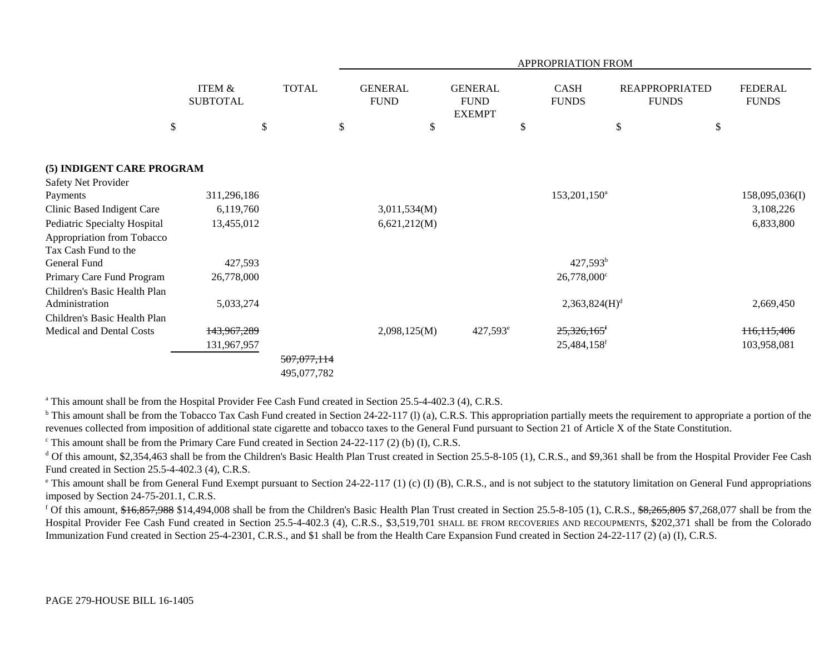|                                                    |                           |                            | APPROPRIATION FROM            |                                                |    |                             |                                       |    |                                |  |  |
|----------------------------------------------------|---------------------------|----------------------------|-------------------------------|------------------------------------------------|----|-----------------------------|---------------------------------------|----|--------------------------------|--|--|
|                                                    | ITEM &<br><b>SUBTOTAL</b> | <b>TOTAL</b>               | <b>GENERAL</b><br><b>FUND</b> | <b>GENERAL</b><br><b>FUND</b><br><b>EXEMPT</b> |    | <b>CASH</b><br><b>FUNDS</b> | <b>REAPPROPRIATED</b><br><b>FUNDS</b> |    | <b>FEDERAL</b><br><b>FUNDS</b> |  |  |
| \$                                                 | \$                        |                            | \$<br>\$                      |                                                | \$ |                             | \$                                    | \$ |                                |  |  |
| (5) INDIGENT CARE PROGRAM                          |                           |                            |                               |                                                |    |                             |                                       |    |                                |  |  |
| Safety Net Provider                                |                           |                            |                               |                                                |    |                             |                                       |    |                                |  |  |
| Payments                                           | 311,296,186               |                            |                               |                                                |    | 153,201,150 <sup>a</sup>    |                                       |    | 158,095,036(I)                 |  |  |
| Clinic Based Indigent Care                         | 6,119,760                 |                            | 3,011,534(M)                  |                                                |    |                             |                                       |    | 3,108,226                      |  |  |
| Pediatric Specialty Hospital                       | 13,455,012                |                            | 6,621,212(M)                  |                                                |    |                             |                                       |    | 6,833,800                      |  |  |
| Appropriation from Tobacco<br>Tax Cash Fund to the |                           |                            |                               |                                                |    |                             |                                       |    |                                |  |  |
| General Fund                                       | 427,593                   |                            |                               |                                                |    | $427,593^b$                 |                                       |    |                                |  |  |
| Primary Care Fund Program                          | 26,778,000                |                            |                               |                                                |    | $26,778,000^{\circ}$        |                                       |    |                                |  |  |
| Children's Basic Health Plan<br>Administration     | 5,033,274                 |                            |                               |                                                |    | 2,363,824(H) <sup>d</sup>   |                                       |    | 2,669,450                      |  |  |
| Children's Basic Health Plan                       |                           |                            |                               |                                                |    |                             |                                       |    |                                |  |  |
| Medical and Dental Costs                           | 143,967,289               |                            | 2,098,125(M)                  | $427,593^{\circ}$                              |    | $25,326,165$ <sup>f</sup>   |                                       |    | 116, 115, 406                  |  |  |
|                                                    | 131,967,957               |                            |                               |                                                |    | 25,484,158 <sup>f</sup>     |                                       |    | 103,958,081                    |  |  |
|                                                    |                           | 507,077,114<br>495,077,782 |                               |                                                |    |                             |                                       |    |                                |  |  |

<sup>a</sup> This amount shall be from the Hospital Provider Fee Cash Fund created in Section 25.5-4-402.3 (4), C.R.S.

<sup>b</sup> This amount shall be from the Tobacco Tax Cash Fund created in Section 24-22-117 (1) (a), C.R.S. This appropriation partially meets the requirement to appropriate a portion of the revenues collected from imposition of additional state cigarette and tobacco taxes to the General Fund pursuant to Section 21 of Article X of the State Constitution.

<sup>c</sup> This amount shall be from the Primary Care Fund created in Section 24-22-117 (2) (b) (I), C.R.S.

<sup>d</sup> Of this amount, \$2,354,463 shall be from the Children's Basic Health Plan Trust created in Section 25.5-8-105 (1), C.R.S., and \$9,361 shall be from the Hospital Provider Fee Cash Fund created in Section 25.5-4-402.3 (4), C.R.S.

 $^{\circ}$  This amount shall be from General Fund Exempt pursuant to Section 24-22-117 (1) (c) (I) (B), C.R.S., and is not subject to the statutory limitation on General Fund appropriations imposed by Section 24-75-201.1, C.R.S.

<sup>f</sup> Of this amount,  $\frac{16,857,988}{14,494,008}$  shall be from the Children's Basic Health Plan Trust created in Section 25.5-8-105 (1), C.R.S.,  $\frac{6,265,805}{10,600}$  \$7,268,077 shall be from the Hospital Provider Fee Cash Fund created in Section 25.5-4-402.3 (4), C.R.S., \$3,519,701 SHALL BE FROM RECOVERIES AND RECOUPMENTS, \$202,371 shall be from the Colorado Immunization Fund created in Section 25-4-2301, C.R.S., and \$1 shall be from the Health Care Expansion Fund created in Section 24-22-117 (2) (a) (I), C.R.S.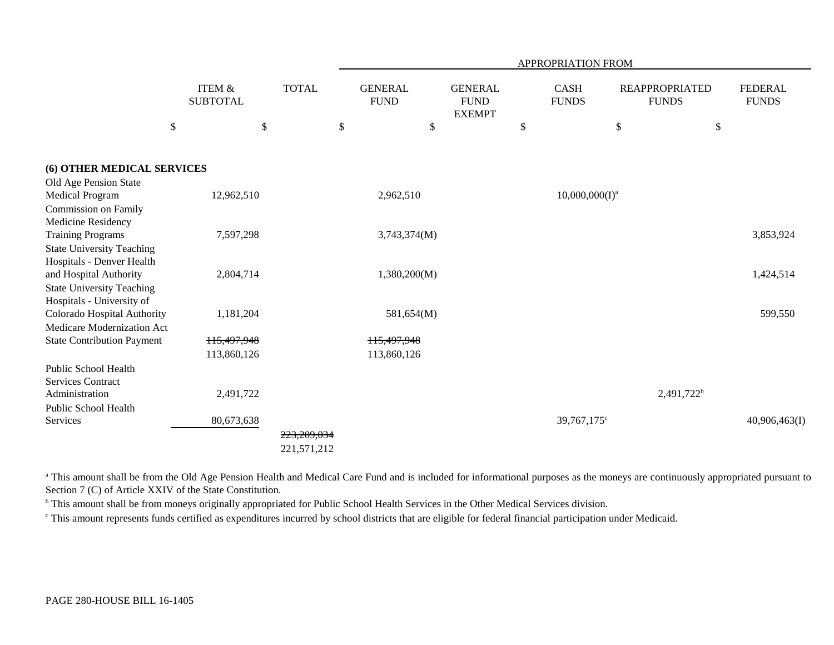|                                                           |                                      |              |                               |                                                | APPROPRIATION FROM          |                   |                                       |                                |
|-----------------------------------------------------------|--------------------------------------|--------------|-------------------------------|------------------------------------------------|-----------------------------|-------------------|---------------------------------------|--------------------------------|
|                                                           | <b>ITEM &amp;</b><br><b>SUBTOTAL</b> | <b>TOTAL</b> | <b>GENERAL</b><br><b>FUND</b> | <b>GENERAL</b><br><b>FUND</b><br><b>EXEMPT</b> | <b>CASH</b><br><b>FUNDS</b> |                   | <b>REAPPROPRIATED</b><br><b>FUNDS</b> | <b>FEDERAL</b><br><b>FUNDS</b> |
| \$                                                        | \$                                   |              | \$                            | \$                                             | \$                          | $\$$              | \$                                    |                                |
| (6) OTHER MEDICAL SERVICES                                |                                      |              |                               |                                                |                             |                   |                                       |                                |
| Old Age Pension State                                     |                                      |              |                               |                                                |                             |                   |                                       |                                |
| Medical Program                                           | 12,962,510                           |              | 2,962,510                     |                                                |                             | $10,000,000(I)^a$ |                                       |                                |
| Commission on Family                                      |                                      |              |                               |                                                |                             |                   |                                       |                                |
| Medicine Residency                                        |                                      |              |                               |                                                |                             |                   |                                       |                                |
| <b>Training Programs</b>                                  | 7,597,298                            |              | 3,743,374(M)                  |                                                |                             |                   |                                       | 3,853,924                      |
| <b>State University Teaching</b>                          |                                      |              |                               |                                                |                             |                   |                                       |                                |
| Hospitals - Denver Health                                 |                                      |              |                               |                                                |                             |                   |                                       |                                |
| and Hospital Authority                                    | 2,804,714                            |              | 1,380,200(M)                  |                                                |                             |                   |                                       | 1,424,514                      |
| <b>State University Teaching</b>                          |                                      |              |                               |                                                |                             |                   |                                       |                                |
| Hospitals - University of                                 |                                      |              |                               |                                                |                             |                   |                                       |                                |
| Colorado Hospital Authority<br>Medicare Modernization Act | 1,181,204                            |              | 581,654(M)                    |                                                |                             |                   |                                       | 599,550                        |
| <b>State Contribution Payment</b>                         | 115,497,948                          |              | 115,497,948                   |                                                |                             |                   |                                       |                                |
|                                                           | 113,860,126                          |              | 113,860,126                   |                                                |                             |                   |                                       |                                |
| <b>Public School Health</b>                               |                                      |              |                               |                                                |                             |                   |                                       |                                |
| <b>Services Contract</b>                                  |                                      |              |                               |                                                |                             |                   |                                       |                                |
| Administration                                            | 2,491,722                            |              |                               |                                                |                             |                   | 2,491,722 <sup>b</sup>                |                                |
| Public School Health                                      |                                      |              |                               |                                                |                             |                   |                                       |                                |
| Services                                                  | 80,673,638                           |              |                               |                                                |                             | 39,767,175°       |                                       | 40,906,463(I)                  |
|                                                           |                                      | 223,209,034  |                               |                                                |                             |                   |                                       |                                |
|                                                           |                                      | 221,571,212  |                               |                                                |                             |                   |                                       |                                |
|                                                           |                                      |              |                               |                                                |                             |                   |                                       |                                |

<sup>a</sup> This amount shall be from the Old Age Pension Health and Medical Care Fund and is included for informational purposes as the moneys are continuously appropriated pursuant to Section 7 (C) of Article XXIV of the State Constitution.

<sup>b</sup> This amount shall be from moneys originally appropriated for Public School Health Services in the Other Medical Services division.

c This amount represents funds certified as expenditures incurred by school districts that are eligible for federal financial participation under Medicaid.